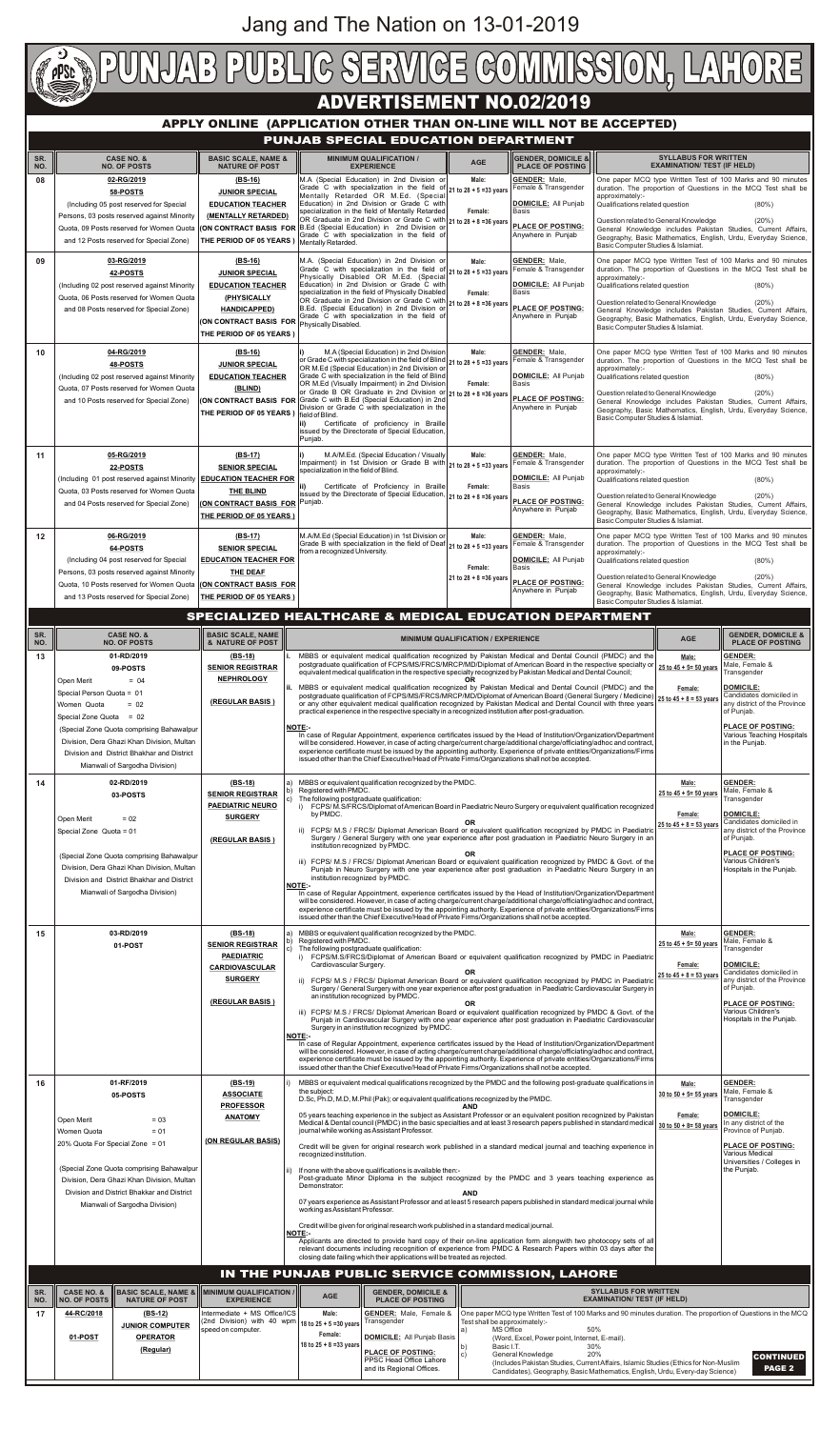## **ADVERTISEMENT NO.02/2019**

### **APPLY ONLINE (APPLICATION OTHER THAN ON-LINE WILL NOT BE ACCEPTED)**

| SR.<br>NO. | <b>CASE NO. &amp;</b><br><b>NO. OF POSTS</b>                                                                                                                                                            | <b>BASIC SCALE, NAME &amp;</b><br><b>NATURE OF POST</b>                                                                                                                         | <b>MINIMUM QUALIFICATION /</b><br><b>EXPERIENCE</b>                                                                                                                                                                                                                                                                                                                                                                                                                                                                                                                                       | <b>AGE</b>                                    | <b>GENDER, DOMICILE &amp;</b><br><b>PLACE OF POSTING</b>                                                                                      | <b>SYLLABUS FOR WRITTEN</b><br><b>EXAMINATION/ TEST (IF HELD)</b>                                                                                                                                                                                                                                                                                                                                                             |
|------------|---------------------------------------------------------------------------------------------------------------------------------------------------------------------------------------------------------|---------------------------------------------------------------------------------------------------------------------------------------------------------------------------------|-------------------------------------------------------------------------------------------------------------------------------------------------------------------------------------------------------------------------------------------------------------------------------------------------------------------------------------------------------------------------------------------------------------------------------------------------------------------------------------------------------------------------------------------------------------------------------------------|-----------------------------------------------|-----------------------------------------------------------------------------------------------------------------------------------------------|-------------------------------------------------------------------------------------------------------------------------------------------------------------------------------------------------------------------------------------------------------------------------------------------------------------------------------------------------------------------------------------------------------------------------------|
| 08         | 02-RG/2019<br>58-POSTS<br>(Including 05 post reserved for Special<br>Persons, 03 posts reserved against Minority<br>Quota, 09 Posts reserved for Women Quota<br>and 12 Posts reserved for Special Zone) | $(BS-16)$<br><b>JUNIOR SPECIAL</b><br><b>EDUCATION TEACHER</b><br>(MENTALLY RETARDED)<br>THE PERIOD OF 05 YEARS                                                                 | M.A (Special Education) in 2nd Division or<br>Grade C with specialization in the field of 21 to 28 + 5 = 33 years<br>Mentally Retarded OR M.Ed. (Special<br>Education) in 2nd Division or Grade C with<br>specialization in the field of Mentally Retarded<br>OR Graduate in 2nd Division or Grade C with<br>(ON CONTRACT BASIS FOR B.Ed (Special Education) in 2nd Division or<br>Grade C with specialization in the field of<br>Mentally Retarded.                                                                                                                                      | Male:<br>Female:<br>21 to 28 + 8 = 36 years   | <b>GENDER: Male.</b><br>Female & Transgender<br><b>DOMICILE:</b> All Punjab<br><b>Basis</b><br><b>PLACE OF POSTING:</b><br>Anywhere in Punjab | One paper MCQ type Written Test of 100 Marks and 90 minutes<br>duration. The proportion of Questions in the MCQ Test shall be<br>approximately:-<br>Qualifications related question<br>$(80\%)$<br>Question related to General Knowledge<br>(20%)<br>General Knowledge includes Pakistan Studies, Current Affairs,<br>Geography, Basic Mathematics, English, Urdu, Everyday Science,<br>Basic Computer Studies & Islamiat.    |
| 09         | 03-RG/2019<br>42-POSTS<br>(Including 02 post reserved against Minority<br>Quota, 06 Posts reserved for Women Quota<br>and 08 Posts reserved for Special Zone)                                           | $(BS-16)$<br><b>JUNIOR SPECIAL</b><br><b>EDUCATION TEACHER</b><br>(PHYSICALLY<br><b>HANDICAPPED)</b><br>(ON CONTRACT BASIS FOR Physically Disabled.<br>THE PERIOD OF 05 YEARS ) | M.A. (Special Education) in 2nd Division or<br>Grade C with specialization in the field of 21 to 28 + 5 = 33 years<br>Physically Disabled OR M.Ed. (Special<br>Education) in 2nd Division or Grade C with<br>specialization in the field of Physically Disabled<br>OR Graduate in 2nd Division or Grade C with 21 to 28 + 8 = 36 years<br>B.Ed. (Special Education) in 2nd Division or<br>Grade C with specialization in the field of                                                                                                                                                     | Male:<br>Female:                              | <b>GENDER: Male.</b><br>Female & Transgender<br><b>DOMICILE: All Punjab</b><br>Basis<br><b>PLACE OF POSTING:</b><br>Anywhere in Punjab        | One paper MCQ type Written Test of 100 Marks and 90 minutes<br>duration. The proportion of Questions in the MCQ Test shall be<br>approximately:-<br>Qualifications related question<br>$(80\%)$<br>Question related to General Knowledge<br>(20%)<br>General Knowledge includes Pakistan Studies, Current Affairs,<br>Geography, Basic Mathematics, English, Urdu, Everyday Science,<br>Basic Computer Studies & Islamiat.    |
| 10         | 04-RG/2019<br>48-POSTS<br>(Including 02 post reserved against Minority<br>Quota, 07 Posts reserved for Women Quota<br>and 10 Posts reserved for Special Zone)                                           | $(BS-16)$<br><b>JUNIOR SPECIAL</b><br><b>EDUCATION TEACHER</b><br>(BLIND)<br>THE PERIOD OF 05 YEARS                                                                             | M.A (Special Education) in 2nd Division<br>or Grade C with specialization in the field of Blind 21 to 28 + 5 =33 years<br>OR M.Ed (Special Education) in 2nd Division or<br>Grade C with specialization in the field of Blind<br>OR M.Ed (Visually Impairment) in 2nd Division<br>or Grade B OR Graduate in 2nd Division or<br>(ON CONTRACT BASIS FOR Grade C with B.Ed (Special Education) in 2nd<br>Division or Grade C with specialization in the<br>I field of Blind.<br>lii).<br>Certificate of proficiency in Braille<br>issued by the Directorate of Special Education,<br>Punjab. | Male:<br>Female:<br>21 to $28 + 8 = 36$ years | <b>GENDER: Male.</b><br>Female & Transgender<br>DOMICILE: All Punjab<br><b>Basis</b><br><b>PLACE OF POSTING:</b><br>Anywhere in Punjab        | One paper MCQ type Written Test of 100 Marks and 90 minutes<br>duration. The proportion of Questions in the MCQ Test shall be<br>approximately:-<br>Qualifications related question<br>$(80\%)$<br>Question related to General Knowledge<br>(20%)<br>General Knowledge includes Pakistan Studies, Current Affairs,<br>Geography, Basic Mathematics, English, Urdu, Everyday Science,<br>Basic Computer Studies & Islamiat.    |
| 11         | 05-RG/2019<br>22-POSTS<br>(Including 01 post reserved against Minority   EDUCATION TEACHER FOR<br>Quota, 03 Posts reserved for Women Quota<br>and 04 Posts reserved for Special Zone)                   | $(BS-17)$<br><b>SENIOR SPECIAL</b><br>THE BLIND<br>(ON CONTRACT BASIS FOR Punjab.<br>THE PERIOD OF 05 YEARS)                                                                    | li).<br>M.A/M.Ed. (Special Education / Visually<br>Impairment) in 1st Division or Grade B with 21 to 28 + 5 = 33 years<br>specialization in the field of Blind.<br>Certificate of Proficiency in Braille<br>issued by the Directorate of Special Education, 21 to 28 + 8 = 36 years                                                                                                                                                                                                                                                                                                       | Male:<br>Female:                              | <b>GENDER: Male,</b><br>Female & Transgender<br>DOMICILE: All Punjab<br><b>Basis</b><br><b>PLACE OF POSTING:</b><br>Anywhere in Punjab        | One paper MCQ type Written Test of 100 Marks and 90 minutes<br>duration. The proportion of Questions in the MCQ Test shall be<br>approximately:-<br>Qualifications related question<br>$(80\%)$<br>Question related to General Knowledge<br>$(20\%)$<br>General Knowledge includes Pakistan Studies, Current Affairs,<br>Geography, Basic Mathematics, English, Urdu, Everyday Science,<br>Basic Computer Studies & Islamiat. |
| 12         | 06-RG/2019<br>64-POSTS<br>(Including 04 post reserved for Special<br>Persons, 03 posts reserved against Minority<br>Quota, 10 Posts reserved for Women Quota<br>and 13 Posts reserved for Special Zone) | $(BS-17)$<br><b>SENIOR SPECIAL</b><br><b>EDUCATION TEACHER FOR</b><br><b>THE DEAF</b><br><b>(ON CONTRACT BASIS FOR</b><br>THE PERIOD OF 05 YEARS                                | M.A/M.Ed (Special Education) in 1st Division or<br>Grade B with specialization in the field of Deaf 21 to 28 + 5 = 33 years<br>from a recognized University.                                                                                                                                                                                                                                                                                                                                                                                                                              | Male:<br>Female:<br>21 to $28 + 8 = 36$ years | <b>GENDER: Male.</b><br>Female & Transgender<br><b>DOMICILE:</b> All Punjab<br><b>Basis</b><br><b>PLACE OF POSTING:</b><br>Anywhere in Punjab | One paper MCQ type Written Test of 100 Marks and 90 minutes<br>duration. The proportion of Questions in the MCQ Test shall be<br>approximately:-<br>Qualifications related question<br>$(80\%)$<br>Question related to General Knowledge<br>$(20\%)$<br>General Knowledge includes Pakistan Studies, Current Affairs,<br>Geography, Basic Mathematics, English, Urdu, Everyday Science,<br>Basic Computer Studies & Islamiat. |

### **PUNJAB SPECIAL EDUCATION DEPARTMENT**

| SR.<br>NO. | <b>CASE NO. &amp;</b><br><b>NO. OF POSTS</b>                                                                                                                            | <b>BASIC SCALE, NAME   </b><br>& NATURE OF POST                                                                             | <b>MINIMUM QUALIFICATION / EXPERIENCE</b>                                                                                                                                                                                                                                                                                                                                                                                                                                                                                                                                                                                                                                                                                                                                                                                        |                                                                                                 | <b>AGE</b>                                                                                                                                                                                                                                   | <b>GENDER, DOMICILE &amp;</b><br><b>PLACE OF POSTING</b>                                  |                                                                          |  |  |  |
|------------|-------------------------------------------------------------------------------------------------------------------------------------------------------------------------|-----------------------------------------------------------------------------------------------------------------------------|----------------------------------------------------------------------------------------------------------------------------------------------------------------------------------------------------------------------------------------------------------------------------------------------------------------------------------------------------------------------------------------------------------------------------------------------------------------------------------------------------------------------------------------------------------------------------------------------------------------------------------------------------------------------------------------------------------------------------------------------------------------------------------------------------------------------------------|-------------------------------------------------------------------------------------------------|----------------------------------------------------------------------------------------------------------------------------------------------------------------------------------------------------------------------------------------------|-------------------------------------------------------------------------------------------|--------------------------------------------------------------------------|--|--|--|
| 13         | 01-RD/2019<br>09-POSTS<br>$= 04$<br>Open Merit                                                                                                                          | $(BS-18)$<br><b>SENIOR REGISTRAR</b><br><b>NEPHROLOGY</b>                                                                   | MBBS or equivalent medical qualification recognized by Pakistan Medical and Dental Council (PMDC) and the<br>postgraduate qualification of FCPS/MS/FRCS/MRCP/MD/Diplomat of American Board in the respective specialty or<br>equivalent medical qualification in the respective specialty recognized by Pakistan Medical and Dental Council;                                                                                                                                                                                                                                                                                                                                                                                                                                                                                     |                                                                                                 |                                                                                                                                                                                                                                              | Male:<br>$25$ to $45 + 5 = 50$ years                                                      | <b>GENDER:</b><br>Male, Female &<br>Transgender                          |  |  |  |
|            | Special Person Quota = 01<br>Women Quota<br>$= 02$<br>Special Zone Quota = 02                                                                                           | (REGULAR BASIS)                                                                                                             | ii. MBBS or equivalent medical qualification recognized by Pakistan Medical and Dental Council (PMDC) and the<br>postgraduate qualification of FCPS/MS/FRCS/MRCP/MD/Diplomat of American Board (General Surgery / Medicine) 25 to 45 + 8 = 53 years<br>or any other equivalent medical qualification recognized by Pakistan Medical and Dental Council with three years<br>practical experience in the respective specialty in a recognized institution after post-graduation.                                                                                                                                                                                                                                                                                                                                                   |                                                                                                 | Female:                                                                                                                                                                                                                                      | <b>DOMICILE:</b><br>Candidates domiciled in<br>any district of the Province<br>of Punjab. |                                                                          |  |  |  |
|            | (Special Zone Quota comprising Bahawalpur<br>Division, Dera Ghazi Khan Division, Multan<br>Division and District Bhakhar and District<br>Mianwali of Sargodha Division) |                                                                                                                             | NOTE:-<br>In case of Regular Appointment, experience certificates issued by the Head of Institution/Organization/Department<br>will be considered. However, in case of acting charge/current charge/additional charge/officiating/adhoc and contract,<br>experience certificate must be issued by the appointing authority. Experience of private entities/Organizations/Firms<br>issued other than the Chief Executive/Head of Private Firms/Organizations shall not be accepted.                                                                                                                                                                                                                                                                                                                                               |                                                                                                 |                                                                                                                                                                                                                                              |                                                                                           | <b>PLACE OF POSTING:</b><br>Various Teaching Hospitals<br>in the Punjab. |  |  |  |
| 14         | 02-RD/2019<br>03-POSTS                                                                                                                                                  | $(BS-18)$<br><b>SENIOR REGISTRAR</b><br><b>PAEDIATRIC NEURO</b>                                                             | MBBS or equivalent qualification recognized by the PMDC.<br>a)<br>Registered with PMDC.<br>The following postgraduate qualification:<br>C)<br>i) FCPS/M.S/FRCS/Diplomat of American Board in Paediatric Neuro Surgery or equivalent qualification recognized<br>by PMDC.<br><b>OR</b><br>ii) FCPS/ M.S / FRCS/ Diplomat American Board or equivalent qualification recognized by PMDC in Paediatric<br>Surgery / General Surgery with one year experience after post graduation in Paediatric Neuro Surgery in an<br>institution recognized by PMDC.<br><b>OR</b><br>iii) FCPS/ M.S / FRCS/ Diplomat American Board or equivalent qualification recognized by PMDC & Govt. of the<br>Punjab in Neuro Surgery with one year experience after post graduation in Paediatric Neuro Surgery in an<br>institution recognized by PMDC. |                                                                                                 | Male:<br>25 to $45 + 5 = 50$ years                                                                                                                                                                                                           | <b>GENDER:</b><br>Male, Female &<br>Transgender                                           |                                                                          |  |  |  |
|            | $= 02$<br>Open Merit<br>Special Zone Quota = 01                                                                                                                         | <b>SURGERY</b><br>(REGULAR BASIS)                                                                                           |                                                                                                                                                                                                                                                                                                                                                                                                                                                                                                                                                                                                                                                                                                                                                                                                                                  |                                                                                                 | Female:<br>25 to $45 + 8 = 53$ years                                                                                                                                                                                                         | <b>DOMICILE:</b><br>Candidates domiciled in<br>any district of the Province<br>of Punjab. |                                                                          |  |  |  |
|            | (Special Zone Quota comprising Bahawalpur<br>Division, Dera Ghazi Khan Division, Multan<br>Division and District Bhakhar and District                                   |                                                                                                                             |                                                                                                                                                                                                                                                                                                                                                                                                                                                                                                                                                                                                                                                                                                                                                                                                                                  |                                                                                                 |                                                                                                                                                                                                                                              | <b>PLACE OF POSTING:</b><br>Various Children's<br>Hospitals in the Puniab.                |                                                                          |  |  |  |
|            | Mianwali of Sargodha Division)                                                                                                                                          |                                                                                                                             | <b>NOTE:-</b><br>In case of Regular Appointment, experience certificates issued by the Head of Institution/Organization/Department<br>will be considered. However, in case of acting charge/current charge/additional charge/officiating/adhoc and contract,<br>experience certificate must be issued by the appointing authority. Experience of private entities/Organizations/Firms<br>issued other than the Chief Executive/Head of Private Firms/Organizations shall not be accepted.                                                                                                                                                                                                                                                                                                                                        |                                                                                                 |                                                                                                                                                                                                                                              |                                                                                           |                                                                          |  |  |  |
| 15         | 03-RD/2019<br>01-POST                                                                                                                                                   | $(BS-18)$<br><b>SENIOR REGISTRAR</b>                                                                                        | MBBS or equivalent qualification recognized by the PMDC.<br>Registered with PMDC.<br>The following postgraduate qualification:<br>C)<br>i) FCPS/M.S/FRCS/Diplomat of American Board or equivalent qualification recognized by PMDC in Paediatric<br>Cardiovascular Surgery.<br>OR.<br>ii) FCPS/ M.S / FRCS/ Diplomat American Board or equivalent qualification recognized by PMDC in Paediatric                                                                                                                                                                                                                                                                                                                                                                                                                                 |                                                                                                 | Male:<br>25 to 45 + 5= 50 years                                                                                                                                                                                                              | <b>GENDER:</b><br>Male, Female &<br>Transgender                                           |                                                                          |  |  |  |
|            |                                                                                                                                                                         | <b>PAEDIATRIC</b><br><b>CARDIOVASCULAR</b><br><b>SURGERY</b>                                                                |                                                                                                                                                                                                                                                                                                                                                                                                                                                                                                                                                                                                                                                                                                                                                                                                                                  |                                                                                                 | Female:<br>25 to $45 + 8 = 53$ years                                                                                                                                                                                                         | DOMICILE:<br>Candidates domiciled in<br>any district of the Province<br>of Punjab.        |                                                                          |  |  |  |
|            |                                                                                                                                                                         | (REGULAR BASIS)                                                                                                             | Surgery / General Surgery with one year experience after post graduation in Paediatric Cardiovascular Surgery in<br>an institution recognized by PMDC.<br>OR<br>iii) FCPS/ M.S / FRCS/ Diplomat American Board or equivalent qualification recognized by PMDC & Govt. of the<br>Punjab in Cardiovascular Surgery with one year experience after post graduation in Paediatric Cardiovascular<br>Surgery in an institution recognized by PMDC.                                                                                                                                                                                                                                                                                                                                                                                    |                                                                                                 |                                                                                                                                                                                                                                              | <b>PLACE OF POSTING:</b><br>Various Children's<br>Hospitals in the Punjab.                |                                                                          |  |  |  |
|            |                                                                                                                                                                         |                                                                                                                             | <b>NOTE:-</b><br>In case of Regular Appointment, experience certificates issued by the Head of Institution/Organization/Department<br>will be considered. However, in case of acting charge/current charge/additional charge/officiating/adhoc and contract,<br>experience certificate must be issued by the appointing authority. Experience of private entities/Organizations/Firms<br>issued other than the Chief Executive/Head of Private Firms/Organizations shall not be accepted.                                                                                                                                                                                                                                                                                                                                        |                                                                                                 |                                                                                                                                                                                                                                              |                                                                                           |                                                                          |  |  |  |
| 16         | 01-RF/2019<br>05-POSTS                                                                                                                                                  | $(BS-19)$<br><b>ASSOCIATE</b><br><b>PROFESSOR</b>                                                                           | MBBS or equivalent medical qualifications recognized by the PMDC and the following post-graduate qualifications in<br>the subject:<br>D.Sc, Ph.D, M.D, M.Phil (Pak); or equivalent qualifications recognized by the PMDC.                                                                                                                                                                                                                                                                                                                                                                                                                                                                                                                                                                                                        |                                                                                                 | Male:<br>$30$ to $50 + 5 = 55$ years                                                                                                                                                                                                         | <b>GENDER:</b><br>Male, Female &<br>Transgender                                           |                                                                          |  |  |  |
|            | $= 03$<br>Open Merit<br>Women Quota<br>$= 01$                                                                                                                           | <b>ANATOMY</b>                                                                                                              | <b>AND</b><br>05 years teaching experience in the subject as Assistant Professor or an equivalent position recognized by Pakistan<br>Medical & Dental council (PMDC) in the basic specialties and at least 3 research papers published in standard medical<br>journal while working as Assistant Professor.                                                                                                                                                                                                                                                                                                                                                                                                                                                                                                                      |                                                                                                 | Female:<br>30 to $50 + 8 = 58$ years                                                                                                                                                                                                         | <b>DOMICILE:</b><br>In any district of the<br>Province of Puniab.                         |                                                                          |  |  |  |
|            | 20% Quota For Special Zone = $01$<br>(Special Zone Quota comprising Bahawalpur                                                                                          | (ON REGULAR BASIS)                                                                                                          | Credit will be given for original research work published in a standard medical journal and teaching experience in<br>recognized institution.                                                                                                                                                                                                                                                                                                                                                                                                                                                                                                                                                                                                                                                                                    |                                                                                                 |                                                                                                                                                                                                                                              | <b>PLACE OF POSTING:</b><br>Various Medical<br>Universities / Colleges in<br>the Punjab.  |                                                                          |  |  |  |
|            | Division, Dera Ghazi Khan Division, Multan<br>Division and District Bhakkar and District                                                                                |                                                                                                                             | If none with the above qualifications is available then:-<br>Post-graduate Minor Diploma in the subject recognized by the PMDC and 3 years teaching experience as<br>Demonstrator:<br><b>AND</b>                                                                                                                                                                                                                                                                                                                                                                                                                                                                                                                                                                                                                                 |                                                                                                 |                                                                                                                                                                                                                                              |                                                                                           |                                                                          |  |  |  |
|            | Mianwali of Sargodha Division)                                                                                                                                          |                                                                                                                             | 07 years experience as Assistant Professor and at least 5 research papers published in standard medical journal while<br>working as Assistant Professor.<br>Credit will be given for original research work published in a standard medical journal.                                                                                                                                                                                                                                                                                                                                                                                                                                                                                                                                                                             |                                                                                                 |                                                                                                                                                                                                                                              |                                                                                           |                                                                          |  |  |  |
|            |                                                                                                                                                                         |                                                                                                                             | NOTE:-                                                                                                                                                                                                                                                                                                                                                                                                                                                                                                                                                                                                                                                                                                                                                                                                                           | closing date failing which their applications will be treated as rejected.                      | Applicants are directed to provide hard copy of their on-line application form alongwith two photocopy sets of all<br>relevant documents including recognition of experience from PMDC & Research Papers within 03 days after the            |                                                                                           |                                                                          |  |  |  |
|            | IN THE PUNJAB PUBLIC SERVICE COMMISSION, LAHORE                                                                                                                         |                                                                                                                             |                                                                                                                                                                                                                                                                                                                                                                                                                                                                                                                                                                                                                                                                                                                                                                                                                                  |                                                                                                 |                                                                                                                                                                                                                                              |                                                                                           |                                                                          |  |  |  |
| SR.<br>NO. | <b>CASE NO. &amp;</b><br><b>BASIC SCALE, NAME &amp;</b><br><b>NO. OF POSTS</b><br><b>NATURE OF POST</b>                                                                 | <b>MINIMUM QUALIFICATION</b><br><b>GENDER, DOMICILE &amp;</b><br><b>AGE</b><br><b>PLACE OF POSTING</b><br><b>EXPERIENCE</b> |                                                                                                                                                                                                                                                                                                                                                                                                                                                                                                                                                                                                                                                                                                                                                                                                                                  | <b>SYLLABUS FOR WRITTEN</b><br><b>EXAMINATION/ TEST (IF HELD)</b>                               |                                                                                                                                                                                                                                              |                                                                                           |                                                                          |  |  |  |
| 17         | 44-RC/2018<br>$(BS-12)$<br>Intermediate + MS Office/ICS<br><b>JUNIOR COMPUTER</b><br>speed on computer.                                                                 |                                                                                                                             | <b>GENDER:</b> Male, Female &<br>One paper MCQ type Written Test of 100 Marks and 90 minutes duration. The proportion of Questions in the MCQ<br>Male:<br>(2nd Division) with 40 wpm $\left  \frac{18 \text{ to } 25 + 5}{30 \text{ years}} \right $<br>Transgender<br>Test shall be approximately:-                                                                                                                                                                                                                                                                                                                                                                                                                                                                                                                             |                                                                                                 |                                                                                                                                                                                                                                              |                                                                                           |                                                                          |  |  |  |
|            | 01-POST<br><b>OPERATOR</b><br>(Regular)                                                                                                                                 |                                                                                                                             | Female:<br>18 to 25 + 8 = 33 years                                                                                                                                                                                                                                                                                                                                                                                                                                                                                                                                                                                                                                                                                                                                                                                               | <b>DOMICILE:</b> All Punjab Basis<br><b>PLACE OF POSTING:</b><br><b>PPSC Head Office Lahore</b> | 50%<br><b>MS Office</b><br>a)<br>(Word, Excel, Power point, Internet, E-mail).<br>Basic I.T.<br>30%<br>b)<br>$\mathbf{C}$<br>General Knowledge<br>20%<br>(Includes Pakistan Studies, Current Affairs, Islamic Studies (Ethics for Non-Muslim |                                                                                           | <b>CONTINUED</b>                                                         |  |  |  |
|            |                                                                                                                                                                         |                                                                                                                             |                                                                                                                                                                                                                                                                                                                                                                                                                                                                                                                                                                                                                                                                                                                                                                                                                                  | and its Regional Offices.                                                                       | Candidates), Geography, Basic Mathematics, English, Urdu, Every-day Science)                                                                                                                                                                 |                                                                                           | PAGE 2                                                                   |  |  |  |

### **SPECIALIZED HEALTHCARE & MEDICAL EDUCATION DEPARTMENT**

# Jang and The Nation on 13-01-2019

## AB PUBLIC SERVICE COMMISSION, LAHORE \PUI